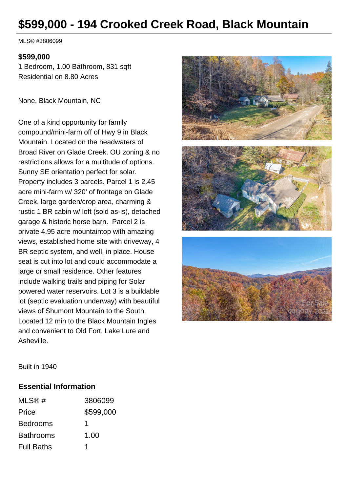# **\$599,000 - 194 Crooked Creek Road, Black Mountain**

MLS® #3806099

#### **\$599,000**

1 Bedroom, 1.00 Bathroom, 831 sqft Residential on 8.80 Acres

None, Black Mountain, NC

One of a kind opportunity for family compound/mini-farm off of Hwy 9 in Black Mountain. Located on the headwaters of Broad River on Glade Creek. OU zoning & no restrictions allows for a multitude of options. Sunny SE orientation perfect for solar. Property includes 3 parcels. Parcel 1 is 2.45 acre mini-farm w/ 320' of frontage on Glade Creek, large garden/crop area, charming & rustic 1 BR cabin w/ loft (sold as-is), detached garage & historic horse barn. Parcel 2 is private 4.95 acre mountaintop with amazing views, established home site with driveway, 4 BR septic system, and well, in place. House seat is cut into lot and could accommodate a large or small residence. Other features include walking trails and piping for Solar powered water reservoirs. Lot 3 is a buildable lot (septic evaluation underway) with beautiful views of Shumont Mountain to the South. Located 12 min to the Black Mountain Ingles and convenient to Old Fort, Lake Lure and Asheville.



Built in 1940

#### **Essential Information**

| MLS@#             | 3806099   |
|-------------------|-----------|
| Price             | \$599,000 |
| <b>Bedrooms</b>   | 1         |
| <b>Bathrooms</b>  | 1.00      |
| <b>Full Baths</b> |           |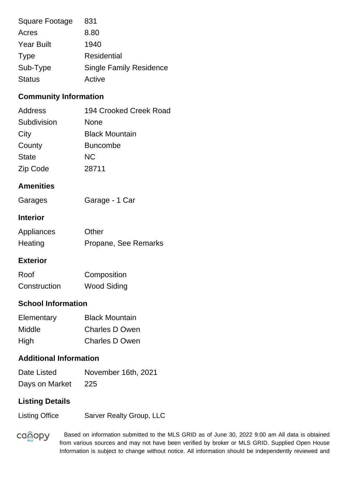| Square Footage    | 831                            |
|-------------------|--------------------------------|
| Acres             | 8.80                           |
| <b>Year Built</b> | 1940                           |
| <b>Type</b>       | Residential                    |
| Sub-Type          | <b>Single Family Residence</b> |
| <b>Status</b>     | Active                         |

## **Community Information**

| Address      | 194 Crooked Creek Road |
|--------------|------------------------|
| Subdivision  | None                   |
| City         | <b>Black Mountain</b>  |
| County       | <b>Buncombe</b>        |
| <b>State</b> | <b>NC</b>              |
| Zip Code     | 28711                  |

## **Amenities**

| Garages | Garage - 1 Car |
|---------|----------------|
|---------|----------------|

#### **Interior**

| Appliances | Other                |
|------------|----------------------|
| Heating    | Propane, See Remarks |

#### **Exterior**

| Roof         | Composition        |
|--------------|--------------------|
| Construction | <b>Wood Siding</b> |

## **School Information**

| Elementary | <b>Black Mountain</b> |
|------------|-----------------------|
| Middle     | <b>Charles D Owen</b> |
| High       | <b>Charles D Owen</b> |

## **Additional Information**

| Date Listed    | November 16th, 2021 |
|----------------|---------------------|
| Days on Market | 225                 |

## **Listing Details**

Listing Office Sarver Realty Group, LLC

**canopy** 

 Based on information submitted to the MLS GRID as of June 30, 2022 9:00 am All data is obtained from various sources and may not have been verified by broker or MLS GRID. Supplied Open House Information is subject to change without notice. All information should be independently reviewed and